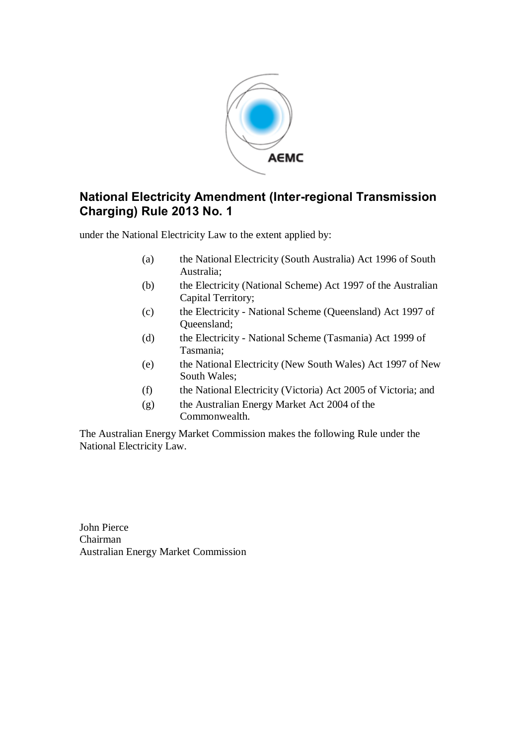

# **National Electricity Amendment (Inter-regional Transmission Charging) Rule 2013 No. 1**

under the National Electricity Law to the extent applied by:

- (a) the National Electricity (South Australia) Act 1996 of South Australia;
- (b) the Electricity (National Scheme) Act 1997 of the Australian Capital Territory;
- (c) the Electricity National Scheme (Queensland) Act 1997 of Queensland;
- (d) the Electricity National Scheme (Tasmania) Act 1999 of Tasmania;
- (e) the National Electricity (New South Wales) Act 1997 of New South Wales;
- (f) the National Electricity (Victoria) Act 2005 of Victoria; and
- (g) the Australian Energy Market Act 2004 of the Commonwealth.

The Australian Energy Market Commission makes the following Rule under the National Electricity Law.

John Pierce Chairman Australian Energy Market Commission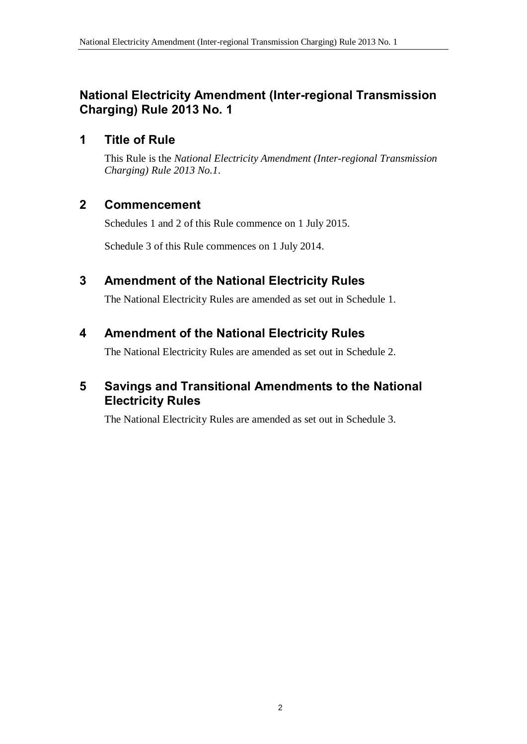# **National Electricity Amendment (Inter-regional Transmission Charging) Rule 2013 No. 1**

### **1 Title of Rule**

This Rule is the *National Electricity Amendment (Inter-regional Transmission Charging) Rule 2013 No.1*.

### **2 Commencement**

Schedules 1 and 2 of this Rule commence on 1 July 2015.

Schedule 3 of this Rule commences on 1 July 2014.

### **3 Amendment of the National Electricity Rules**

The National Electricity Rules are amended as set out in Schedule 1.

### **4 Amendment of the National Electricity Rules**

The National Electricity Rules are amended as set out in Schedule 2.

### **5 Savings and Transitional Amendments to the National Electricity Rules**

The National Electricity Rules are amended as set out in Schedule 3.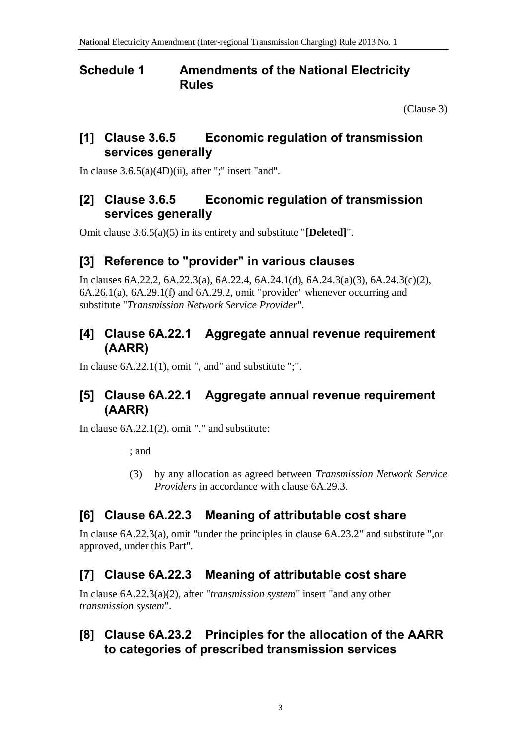#### **Schedule 1 Amendments of the National Electricity Rules**

(Clause 3)

### **[1] Clause 3.6.5 Economic regulation of transmission services generally**

In clause  $3.6.5(a)(4D)(ii)$ , after ";" insert "and".

### **[2] Clause 3.6.5 Economic regulation of transmission services generally**

Omit clause 3.6.5(a)(5) in its entirety and substitute "**[Deleted]**".

# **[3] Reference to "provider" in various clauses**

In clauses 6A.22.2, 6A.22.3(a), 6A.22.4, 6A.24.1(d), 6A.24.3(a)(3), 6A.24.3(c)(2), 6A.26.1(a), 6A.29.1(f) and 6A.29.2, omit "provider" whenever occurring and substitute "*Transmission Network Service Provider*".

## **[4] Clause 6A.22.1 Aggregate annual revenue requirement (AARR)**

In clause  $6A.22.1(1)$ , omit ", and" and substitute ";".

# **[5] Clause 6A.22.1 Aggregate annual revenue requirement (AARR)**

In clause 6A.22.1(2), omit "." and substitute:

; and

(3) by any allocation as agreed between *Transmission Network Service Providers* in accordance with clause 6A.29.3.

# **[6] Clause 6A.22.3 Meaning of attributable cost share**

In clause 6A.22.3(a), omit "under the principles in clause 6A.23.2" and substitute ",or approved, under this Part".

# **[7] Clause 6A.22.3 Meaning of attributable cost share**

In clause 6A.22.3(a)(2), after "*transmission system*" insert "and any other *transmission system*".

#### **[8] Clause 6A.23.2 Principles for the allocation of the AARR to categories of prescribed transmission services**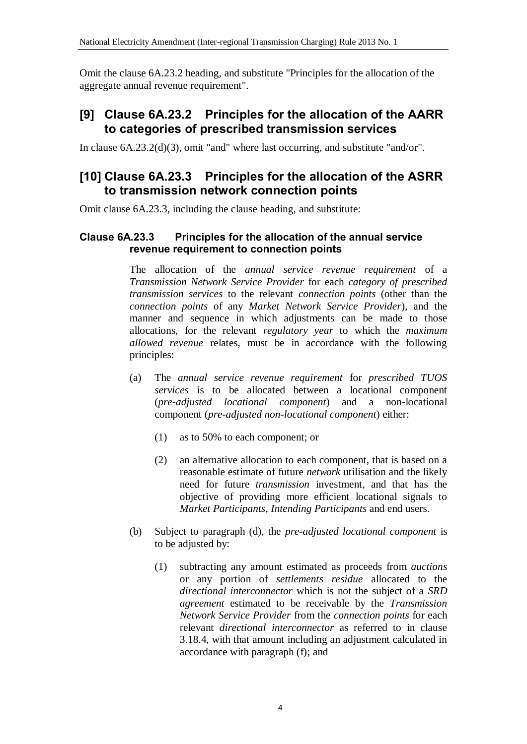Omit the clause 6A.23.2 heading, and substitute "Principles for the allocation of the aggregate annual revenue requirement".

# **[9] Clause 6A.23.2 Principles for the allocation of the AARR to categories of prescribed transmission services**

In clause 6A.23.2(d)(3), omit "and" where last occurring, and substitute "and/or".

#### **[10] Clause 6A.23.3 Principles for the allocation of the ASRR to transmission network connection points**

Omit clause 6A.23.3, including the clause heading, and substitute:

#### **Clause 6A.23.3 Principles for the allocation of the annual service revenue requirement to connection points**

The allocation of the *annual service revenue requirement* of a *Transmission Network Service Provider* for each *category of prescribed transmission services* to the relevant *connection points* (other than the *connection points* of any *Market Network Service Provider*), and the manner and sequence in which adjustments can be made to those allocations, for the relevant *regulatory year* to which the *maximum allowed revenue* relates, must be in accordance with the following principles:

- (a) The *annual service revenue requirement* for *prescribed TUOS services* is to be allocated between a locational component (*pre-adjusted locational component*) and a non-locational component (*pre-adjusted non-locational component*) either:
	- (1) as to 50% to each component; or
	- (2) an alternative allocation to each component, that is based on a reasonable estimate of future *network* utilisation and the likely need for future *transmission* investment, and that has the objective of providing more efficient locational signals to *Market Participants*, *Intending Participants* and end users.
- (b) Subject to paragraph (d), the *pre-adjusted locational component* is to be adjusted by:
	- (1) subtracting any amount estimated as proceeds from *auctions* or any portion of *settlements residue* allocated to the *directional interconnector* which is not the subject of a *SRD agreement* estimated to be receivable by the *Transmission Network Service Provider* from the *connection points* for each relevant *directional interconnector* as referred to in clause 3.18.4, with that amount including an adjustment calculated in accordance with paragraph (f); and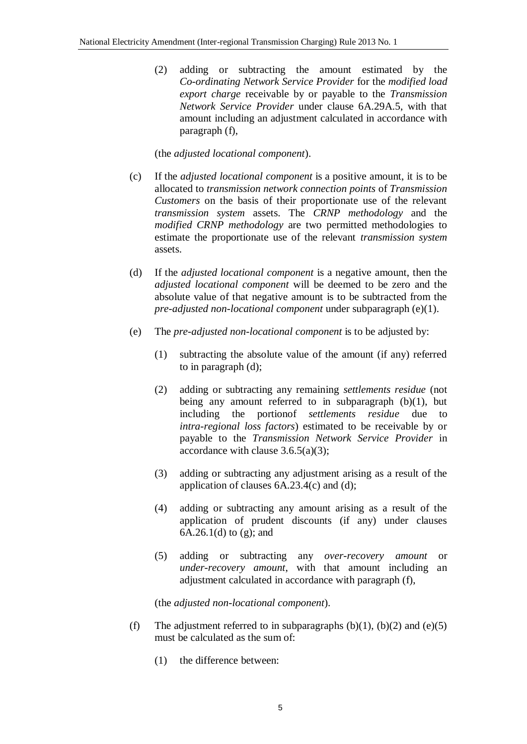(2) adding or subtracting the amount estimated by the *Co-ordinating Network Service Provider* for the *modified load export charge* receivable by or payable to the *Transmission Network Service Provider* under clause 6A.29A.5, with that amount including an adjustment calculated in accordance with paragraph (f),

(the *adjusted locational component*).

- (c) If the *adjusted locational component* is a positive amount, it is to be allocated to *transmission network connection points* of *Transmission Customers* on the basis of their proportionate use of the relevant *transmission system* assets. The *CRNP methodology* and the *modified CRNP methodology* are two permitted methodologies to estimate the proportionate use of the relevant *transmission system* assets.
- (d) If the *adjusted locational component* is a negative amount, then the *adjusted locational component* will be deemed to be zero and the absolute value of that negative amount is to be subtracted from the *pre-adjusted non-locational component* under subparagraph (e)(1).
- (e) The *pre-adjusted non-locational component* is to be adjusted by:
	- (1) subtracting the absolute value of the amount (if any) referred to in paragraph (d);
	- (2) adding or subtracting any remaining *settlements residue* (not being any amount referred to in subparagraph  $(b)(1)$ , but including the portionof *settlements residue* due to *intra-regional loss factors*) estimated to be receivable by or payable to the *Transmission Network Service Provider* in accordance with clause 3.6.5(a)(3);
	- (3) adding or subtracting any adjustment arising as a result of the application of clauses 6A.23.4(c) and (d);
	- (4) adding or subtracting any amount arising as a result of the application of prudent discounts (if any) under clauses 6A.26.1(d) to (g); and
	- (5) adding or subtracting any *over-recovery amount* or *under-recovery amount*, with that amount including an adjustment calculated in accordance with paragraph (f),

(the *adjusted non-locational component*).

- (f) The adjustment referred to in subparagraphs  $(b)(1)$ ,  $(b)(2)$  and  $(e)(5)$ must be calculated as the sum of:
	- (1) the difference between: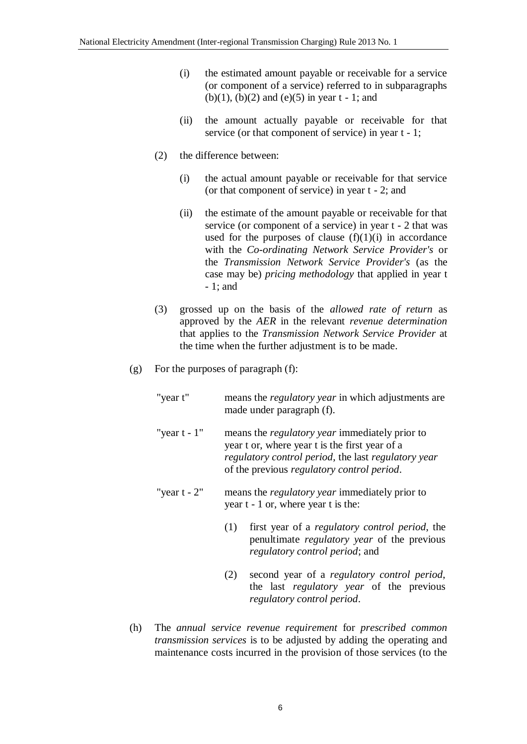- (i) the estimated amount payable or receivable for a service (or component of a service) referred to in subparagraphs (b)(1), (b)(2) and (e)(5) in year  $t - 1$ ; and
- (ii) the amount actually payable or receivable for that service (or that component of service) in year t - 1;
- (2) the difference between:
	- (i) the actual amount payable or receivable for that service (or that component of service) in year t - 2; and
	- (ii) the estimate of the amount payable or receivable for that service (or component of a service) in year t - 2 that was used for the purposes of clause  $(f)(1)(i)$  in accordance with the *Co-ordinating Network Service Provider's* or the *Transmission Network Service Provider's* (as the case may be) *pricing methodology* that applied in year t - 1; and
- (3) grossed up on the basis of the *allowed rate of return* as approved by the *AER* in the relevant *revenue determination* that applies to the *Transmission Network Service Provider* at the time when the further adjustment is to be made.
- (g) For the purposes of paragraph (f):
	- "year t" means the *regulatory year* in which adjustments are made under paragraph (f).
	- "year t 1" means the *regulatory year* immediately prior to year t or, where year t is the first year of a *regulatory control period*, the last *regulatory year* of the previous *regulatory control period*.
	- "year t 2" means the *regulatory year* immediately prior to year t - 1 or, where year t is the:
		- (1) first year of a *regulatory control period*, the penultimate *regulatory year* of the previous *regulatory control period*; and
		- (2) second year of a *regulatory control period*, the last *regulatory year* of the previous *regulatory control period*.
- (h) The *annual service revenue requirement* for *prescribed common transmission services* is to be adjusted by adding the operating and maintenance costs incurred in the provision of those services (to the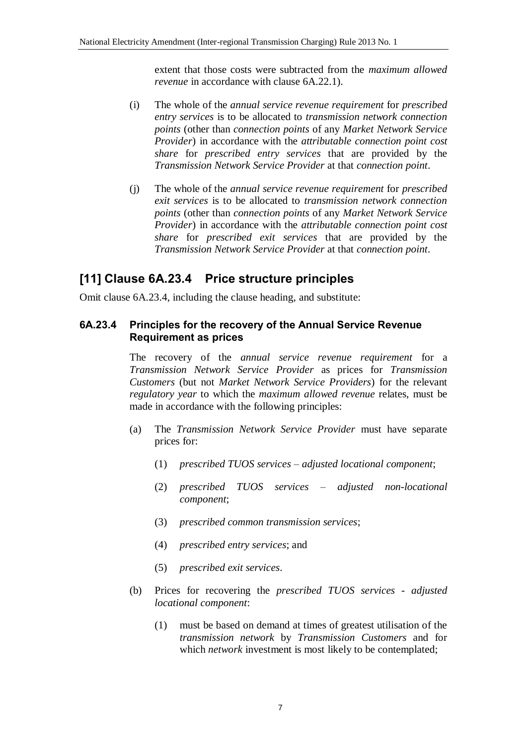extent that those costs were subtracted from the *maximum allowed revenue* in accordance with clause 6A.22.1).

- (i) The whole of the *annual service revenue requirement* for *prescribed entry services* is to be allocated to *transmission network connection points* (other than *connection points* of any *Market Network Service Provider*) in accordance with the *attributable connection point cost share* for *prescribed entry services* that are provided by the *Transmission Network Service Provider* at that *connection point*.
- (j) The whole of the *annual service revenue requirement* for *prescribed exit services* is to be allocated to *transmission network connection points* (other than *connection points* of any *Market Network Service Provider*) in accordance with the *attributable connection point cost share* for *prescribed exit services* that are provided by the *Transmission Network Service Provider* at that *connection point*.

# **[11] Clause 6A.23.4 Price structure principles**

Omit clause 6A.23.4, including the clause heading, and substitute:

#### **6A.23.4 Principles for the recovery of the Annual Service Revenue Requirement as prices**

The recovery of the *annual service revenue requirement* for a *Transmission Network Service Provider* as prices for *Transmission Customers* (but not *Market Network Service Providers*) for the relevant *regulatory year* to which the *maximum allowed revenue* relates, must be made in accordance with the following principles:

- (a) The *Transmission Network Service Provider* must have separate prices for:
	- (1) *prescribed TUOS services adjusted locational component*;
	- (2) *prescribed TUOS services adjusted non-locational component*;
	- (3) *prescribed common transmission services*;
	- (4) *prescribed entry services*; and
	- (5) *prescribed exit services*.
- (b) Prices for recovering the *prescribed TUOS services adjusted locational component*:
	- (1) must be based on demand at times of greatest utilisation of the *transmission network* by *Transmission Customers* and for which *network* investment is most likely to be contemplated;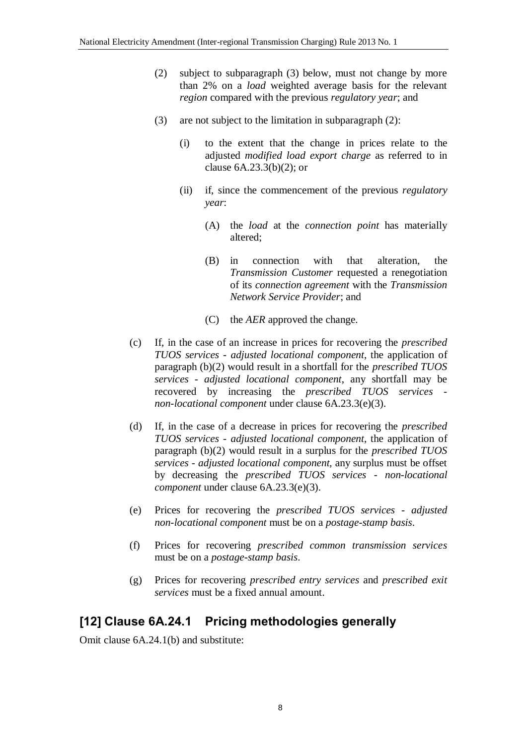- (2) subject to subparagraph (3) below, must not change by more than 2% on a *load* weighted average basis for the relevant *region* compared with the previous *regulatory year*; and
- (3) are not subject to the limitation in subparagraph (2):
	- (i) to the extent that the change in prices relate to the adjusted *modified load export charge* as referred to in clause 6A.23.3(b)(2); or
	- (ii) if, since the commencement of the previous *regulatory year*:
		- (A) the *load* at the *connection point* has materially altered;
		- (B) in connection with that alteration, the *Transmission Customer* requested a renegotiation of its *connection agreement* with the *Transmission Network Service Provider*; and
		- (C) the *AER* approved the change.
- (c) If, in the case of an increase in prices for recovering the *prescribed TUOS services* - *adjusted locational component*, the application of paragraph (b)(2) would result in a shortfall for the *prescribed TUOS services* - *adjusted locational component*, any shortfall may be recovered by increasing the *prescribed TUOS services non-locational component* under clause 6A.23.3(e)(3).
- (d) If, in the case of a decrease in prices for recovering the *prescribed TUOS services* - *adjusted locational component*, the application of paragraph (b)(2) would result in a surplus for the *prescribed TUOS services* - *adjusted locational component*, any surplus must be offset by decreasing the *prescribed TUOS services* - *non-locational component* under clause 6A.23.3(e)(3).
- (e) Prices for recovering the *prescribed TUOS services adjusted non-locational component* must be on a *postage-stamp basis*.
- (f) Prices for recovering *prescribed common transmission services* must be on a *postage-stamp basis*.
- (g) Prices for recovering *prescribed entry services* and *prescribed exit services* must be a fixed annual amount.

# **[12] Clause 6A.24.1 Pricing methodologies generally**

Omit clause 6A.24.1(b) and substitute: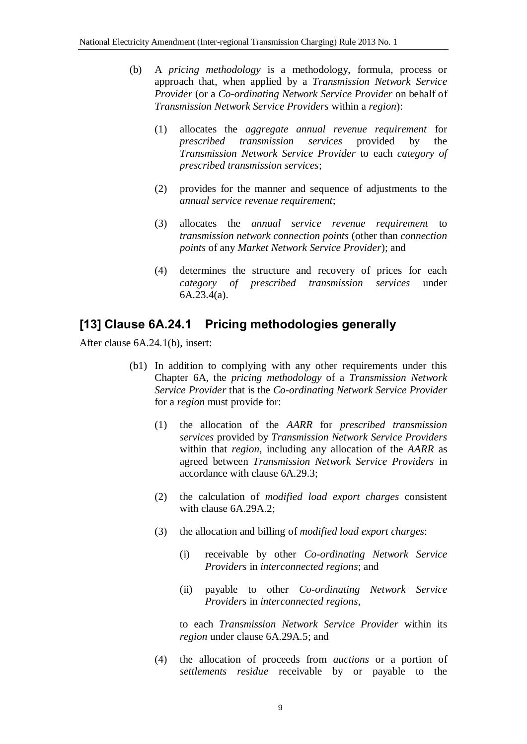- (b) A *pricing methodology* is a methodology, formula, process or approach that, when applied by a *Transmission Network Service Provider* (or a *Co-ordinating Network Service Provider* on behalf of *Transmission Network Service Providers* within a *region*):
	- (1) allocates the *aggregate annual revenue requirement* for *prescribed transmission services* provided by the *Transmission Network Service Provider* to each *category of prescribed transmission services*;
	- (2) provides for the manner and sequence of adjustments to the *annual service revenue requirement*;
	- (3) allocates the *annual service revenue requirement* to *transmission network connection points* (other than *connection points* of any *Market Network Service Provider*); and
	- (4) determines the structure and recovery of prices for each *category of prescribed transmission services* under 6A.23.4(a).

#### **[13] Clause 6A.24.1 Pricing methodologies generally**

After clause 6A.24.1(b), insert:

- (b1) In addition to complying with any other requirements under this Chapter 6A, the *pricing methodology* of a *Transmission Network Service Provider* that is the *Co-ordinating Network Service Provider* for a *region* must provide for:
	- (1) the allocation of the *AARR* for *prescribed transmission services* provided by *Transmission Network Service Providers* within that *region*, including any allocation of the *AARR* as agreed between *Transmission Network Service Providers* in accordance with clause 6A.29.3;
	- (2) the calculation of *modified load export charges* consistent with clause 6A.29A.2;
	- (3) the allocation and billing of *modified load export charges*:
		- (i) receivable by other *Co-ordinating Network Service Providers* in *interconnected regions*; and
		- (ii) payable to other *Co-ordinating Network Service Providers* in *interconnected regions*,

to each *Transmission Network Service Provider* within its *region* under clause 6A.29A.5; and

(4) the allocation of proceeds from *auctions* or a portion of *settlements residue* receivable by or payable to the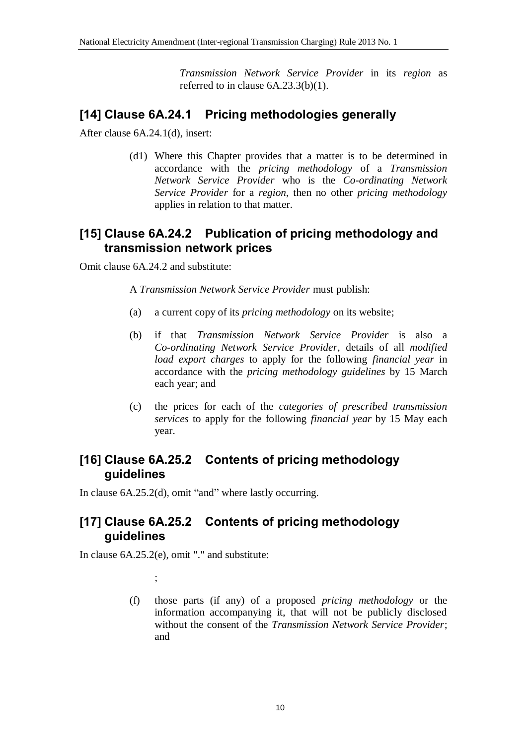*Transmission Network Service Provider* in its *region* as referred to in clause 6A.23.3(b)(1).

## **[14] Clause 6A.24.1 Pricing methodologies generally**

After clause 6A.24.1(d), insert:

(d1) Where this Chapter provides that a matter is to be determined in accordance with the *pricing methodology* of a *Transmission Network Service Provider* who is the *Co-ordinating Network Service Provider* for a *region*, then no other *pricing methodology* applies in relation to that matter.

## **[15] Clause 6A.24.2 Publication of pricing methodology and transmission network prices**

Omit clause 6A.24.2 and substitute:

A *Transmission Network Service Provider* must publish:

- (a) a current copy of its *pricing methodology* on its website;
- (b) if that *Transmission Network Service Provider* is also a *Co-ordinating Network Service Provider*, details of all *modified load export charges* to apply for the following *financial year* in accordance with the *pricing methodology guidelines* by 15 March each year; and
- (c) the prices for each of the *categories of prescribed transmission services* to apply for the following *financial year* by 15 May each year.

# **[16] Clause 6A.25.2 Contents of pricing methodology guidelines**

In clause 6A.25.2(d), omit "and" where lastly occurring.

# **[17] Clause 6A.25.2 Contents of pricing methodology guidelines**

In clause 6A.25.2(e), omit "." and substitute:

;

(f) those parts (if any) of a proposed *pricing methodology* or the information accompanying it, that will not be publicly disclosed without the consent of the *Transmission Network Service Provider*; and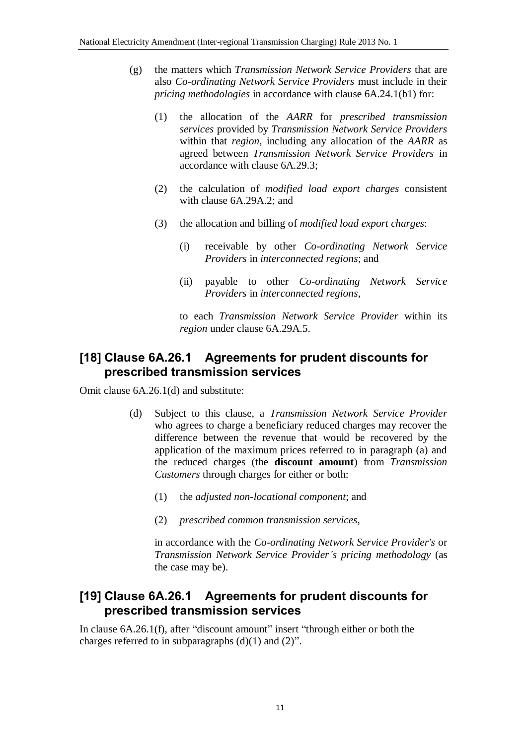- (g) the matters which *Transmission Network Service Providers* that are also *Co-ordinating Network Service Providers* must include in their *pricing methodologies* in accordance with clause 6A.24.1(b1) for:
	- (1) the allocation of the *AARR* for *prescribed transmission services* provided by *Transmission Network Service Providers* within that *region*, including any allocation of the *AARR* as agreed between *Transmission Network Service Providers* in accordance with clause 6A.29.3;
	- (2) the calculation of *modified load export charges* consistent with clause 6A.29A.2; and
	- (3) the allocation and billing of *modified load export charges*:
		- (i) receivable by other *Co-ordinating Network Service Providers* in *interconnected regions*; and
		- (ii) payable to other *Co-ordinating Network Service Providers* in *interconnected regions*,

to each *Transmission Network Service Provider* within its *region* under clause 6A.29A.5.

## **[18] Clause 6A.26.1 Agreements for prudent discounts for prescribed transmission services**

Omit clause 6A.26.1(d) and substitute:

- (d) Subject to this clause, a *Transmission Network Service Provider* who agrees to charge a beneficiary reduced charges may recover the difference between the revenue that would be recovered by the application of the maximum prices referred to in paragraph (a) and the reduced charges (the **discount amount**) from *Transmission Customers* through charges for either or both:
	- (1) the *adjusted non-locational component*; and
	- (2) *prescribed common transmission services*,

in accordance with the *Co-ordinating Network Service Provider's* or *Transmission Network Service Provider's pricing methodology* (as the case may be).

# **[19] Clause 6A.26.1 Agreements for prudent discounts for prescribed transmission services**

In clause 6A.26.1(f), after "discount amount" insert "through either or both the charges referred to in subparagraphs  $(d)(1)$  and  $(2)$ ".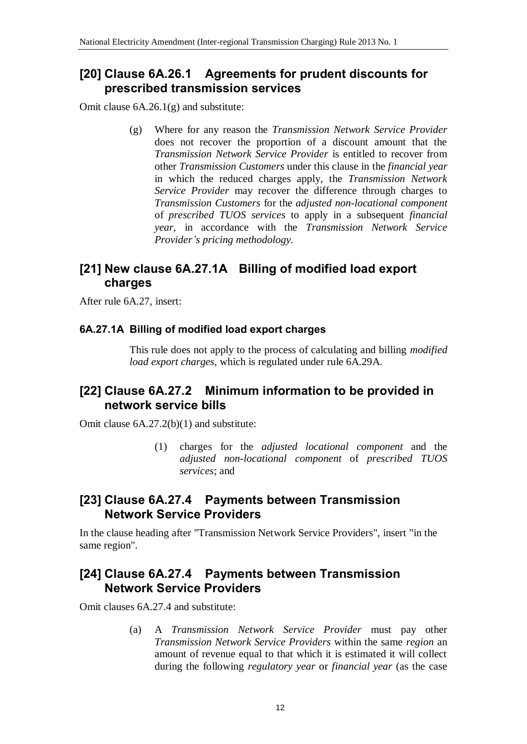### **[20] Clause 6A.26.1 Agreements for prudent discounts for prescribed transmission services**

Omit clause 6A.26.1(g) and substitute:

(g) Where for any reason the *Transmission Network Service Provider* does not recover the proportion of a discount amount that the *Transmission Network Service Provider* is entitled to recover from other *Transmission Customers* under this clause in the *financial year* in which the reduced charges apply, the *Transmission Network Service Provider* may recover the difference through charges to *Transmission Customers* for the *adjusted non-locational component* of *prescribed TUOS services* to apply in a subsequent *financial year*, in accordance with the *Transmission Network Service Provider's pricing methodology.*

# **[21] New clause 6A.27.1A Billing of modified load export charges**

After rule 6A.27, insert:

#### **6A.27.1A Billing of modified load export charges**

This rule does not apply to the process of calculating and billing *modified load export charges*, which is regulated under rule 6A.29A.

### **[22] Clause 6A.27.2 Minimum information to be provided in network service bills**

Omit clause 6A.27.2(b)(1) and substitute:

(1) charges for the *adjusted locational component* and the *adjusted non-locational component* of *prescribed TUOS services*; and

### **[23] Clause 6A.27.4 Payments between Transmission Network Service Providers**

In the clause heading after "Transmission Network Service Providers", insert "in the same region".

### **[24] Clause 6A.27.4 Payments between Transmission Network Service Providers**

Omit clauses 6A.27.4 and substitute:

(a) A *Transmission Network Service Provider* must pay other *Transmission Network Service Providers* within the same *region* an amount of revenue equal to that which it is estimated it will collect during the following *regulatory year* or *financial year* (as the case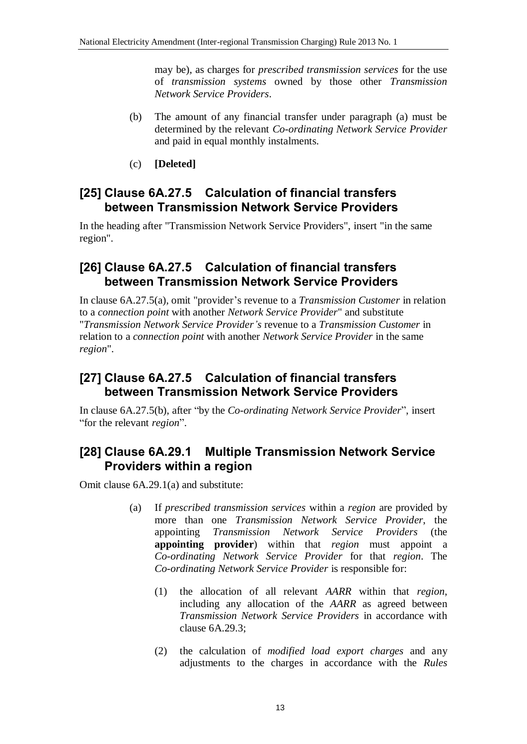may be), as charges for *prescribed transmission services* for the use of *transmission systems* owned by those other *Transmission Network Service Providers*.

- (b) The amount of any financial transfer under paragraph (a) must be determined by the relevant *Co-ordinating Network Service Provider* and paid in equal monthly instalments.
- (c) **[Deleted]**

## **[25] Clause 6A.27.5 Calculation of financial transfers between Transmission Network Service Providers**

In the heading after "Transmission Network Service Providers", insert "in the same region".

#### **[26] Clause 6A.27.5 Calculation of financial transfers between Transmission Network Service Providers**

In clause 6A.27.5(a), omit "provider's revenue to a *Transmission Customer* in relation to a *connection point* with another *Network Service Provider*" and substitute "*Transmission Network Service Provider's* revenue to a *Transmission Customer* in relation to a *connection point* with another *Network Service Provider* in the same *region*".

## **[27] Clause 6A.27.5 Calculation of financial transfers between Transmission Network Service Providers**

In clause 6A.27.5(b), after "by the *Co-ordinating Network Service Provider*", insert "for the relevant *region*".

# **[28] Clause 6A.29.1 Multiple Transmission Network Service Providers within a region**

Omit clause 6A.29.1(a) and substitute:

- (a) If *prescribed transmission services* within a *region* are provided by more than one *Transmission Network Service Provider*, the appointing *Transmission Network Service Providers* (the **appointing provider**) within that *region* must appoint a *Co-ordinating Network Service Provider* for that *region*. The *Co-ordinating Network Service Provider* is responsible for:
	- (1) the allocation of all relevant *AARR* within that *region*, including any allocation of the *AARR* as agreed between *Transmission Network Service Providers* in accordance with clause 6A.29.3;
	- (2) the calculation of *modified load export charges* and any adjustments to the charges in accordance with the *Rules*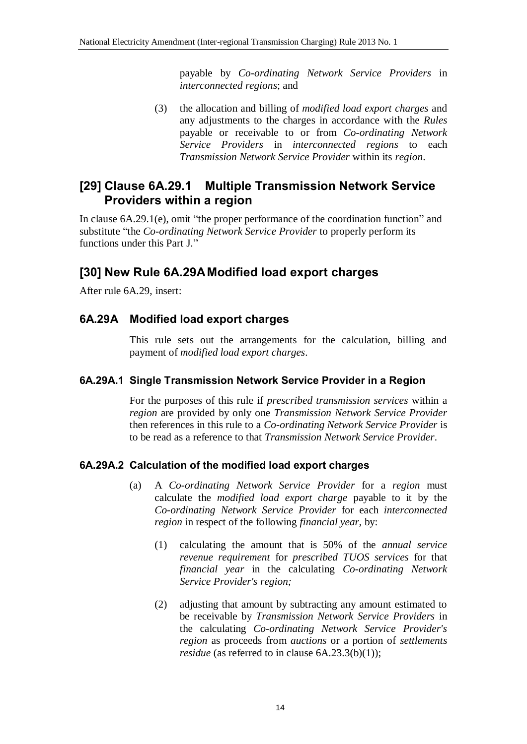payable by *Co-ordinating Network Service Providers* in *interconnected regions*; and

(3) the allocation and billing of *modified load export charges* and any adjustments to the charges in accordance with the *Rules* payable or receivable to or from *Co-ordinating Network Service Providers* in *interconnected regions* to each *Transmission Network Service Provider* within its *region*.

# **[29] Clause 6A.29.1 Multiple Transmission Network Service Providers within a region**

In clause 6A.29.1(e), omit "the proper performance of the coordination function" and substitute "the *Co-ordinating Network Service Provider* to properly perform its functions under this Part J."

# **[30] New Rule 6A.29AModified load export charges**

After rule 6A.29, insert:

#### **6A.29A Modified load export charges**

This rule sets out the arrangements for the calculation, billing and payment of *modified load export charges*.

#### **6A.29A.1 Single Transmission Network Service Provider in a Region**

For the purposes of this rule if *prescribed transmission services* within a *region* are provided by only one *Transmission Network Service Provider* then references in this rule to a *Co-ordinating Network Service Provider* is to be read as a reference to that *Transmission Network Service Provider*.

#### **6A.29A.2 Calculation of the modified load export charges**

- (a) A *Co-ordinating Network Service Provider* for a *region* must calculate the *modified load export charge* payable to it by the *Co-ordinating Network Service Provider* for each *interconnected region* in respect of the following *financial year*, by:
	- (1) calculating the amount that is 50% of the *annual service revenue requirement* for *prescribed TUOS services* for that *financial year* in the calculating *Co-ordinating Network Service Provider's region;*
	- (2) adjusting that amount by subtracting any amount estimated to be receivable by *Transmission Network Service Providers* in the calculating *Co-ordinating Network Service Provider's region* as proceeds from *auctions* or a portion of *settlements residue* (as referred to in clause 6A.23.3(b)(1));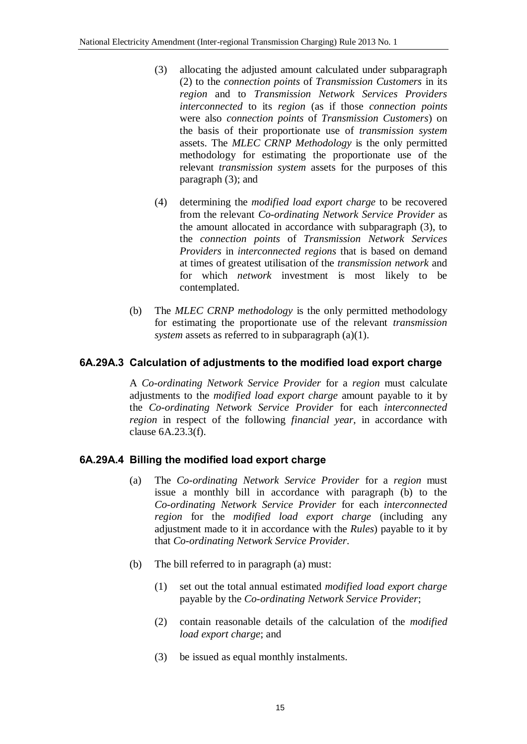- (3) allocating the adjusted amount calculated under subparagraph (2) to the *connection points* of *Transmission Customers* in its *region* and to *Transmission Network Services Providers interconnected* to its *region* (as if those *connection points* were also *connection points* of *Transmission Customers*) on the basis of their proportionate use of *transmission system* assets. The *MLEC CRNP Methodology* is the only permitted methodology for estimating the proportionate use of the relevant *transmission system* assets for the purposes of this paragraph (3); and
- (4) determining the *modified load export charge* to be recovered from the relevant *Co-ordinating Network Service Provider* as the amount allocated in accordance with subparagraph (3), to the *connection points* of *Transmission Network Services Providers* in *interconnected regions* that is based on demand at times of greatest utilisation of the *transmission network* and for which *network* investment is most likely to be contemplated.
- (b) The *MLEC CRNP methodology* is the only permitted methodology for estimating the proportionate use of the relevant *transmission system* assets as referred to in subparagraph (a)(1).

#### **6A.29A.3 Calculation of adjustments to the modified load export charge**

A *Co-ordinating Network Service Provider* for a *region* must calculate adjustments to the *modified load export charge* amount payable to it by the *Co-ordinating Network Service Provider* for each *interconnected region* in respect of the following *financial year*, in accordance with clause 6A.23.3(f).

#### **6A.29A.4 Billing the modified load export charge**

- (a) The *Co-ordinating Network Service Provider* for a *region* must issue a monthly bill in accordance with paragraph (b) to the *Co-ordinating Network Service Provider* for each *interconnected region* for the *modified load export charge* (including any adjustment made to it in accordance with the *Rules*) payable to it by that *Co-ordinating Network Service Provider*.
- (b) The bill referred to in paragraph (a) must:
	- (1) set out the total annual estimated *modified load export charge* payable by the *Co-ordinating Network Service Provider*;
	- (2) contain reasonable details of the calculation of the *modified load export charge*; and
	- (3) be issued as equal monthly instalments.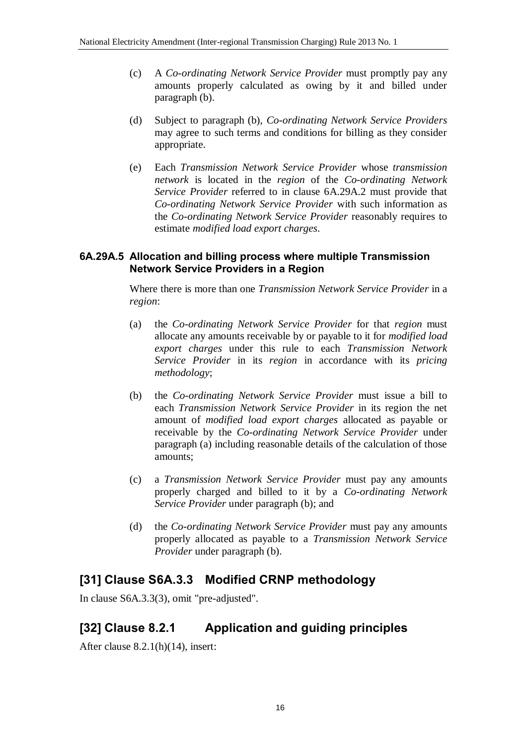- (c) A *Co-ordinating Network Service Provider* must promptly pay any amounts properly calculated as owing by it and billed under paragraph (b).
- (d) Subject to paragraph (b), *Co-ordinating Network Service Providers* may agree to such terms and conditions for billing as they consider appropriate.
- (e) Each *Transmission Network Service Provider* whose *transmission network* is located in the *region* of the *Co-ordinating Network Service Provider* referred to in clause 6A.29A.2 must provide that *Co-ordinating Network Service Provider* with such information as the *Co-ordinating Network Service Provider* reasonably requires to estimate *modified load export charges*.

#### **6A.29A.5 Allocation and billing process where multiple Transmission Network Service Providers in a Region**

Where there is more than one *Transmission Network Service Provider* in a *region*:

- (a) the *Co-ordinating Network Service Provider* for that *region* must allocate any amounts receivable by or payable to it for *modified load export charges* under this rule to each *Transmission Network Service Provider* in its *region* in accordance with its *pricing methodology*;
- (b) the *Co-ordinating Network Service Provider* must issue a bill to each *Transmission Network Service Provider* in its region the net amount of *modified load export charges* allocated as payable or receivable by the *Co-ordinating Network Service Provider* under paragraph (a) including reasonable details of the calculation of those amounts;
- (c) a *Transmission Network Service Provider* must pay any amounts properly charged and billed to it by a *Co-ordinating Network Service Provider* under paragraph (b); and
- (d) the *Co-ordinating Network Service Provider* must pay any amounts properly allocated as payable to a *Transmission Network Service Provider* under paragraph (b).

# **[31] Clause S6A.3.3 Modified CRNP methodology**

In clause S6A.3.3(3), omit "pre-adjusted".

# **[32] Clause 8.2.1 Application and guiding principles**

After clause 8.2.1(h)(14), insert: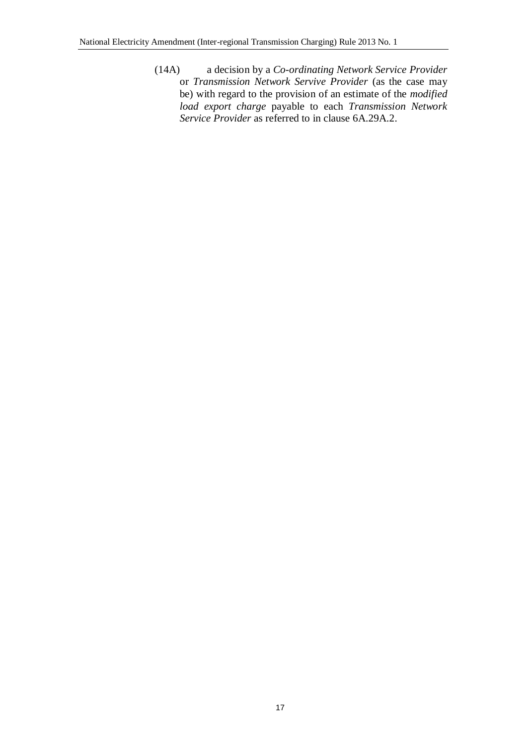(14A) a decision by a *Co-ordinating Network Service Provider* or *Transmission Network Servive Provider* (as the case may be) with regard to the provision of an estimate of the *modified load export charge* payable to each *Transmission Network Service Provider* as referred to in clause 6A.29A.2.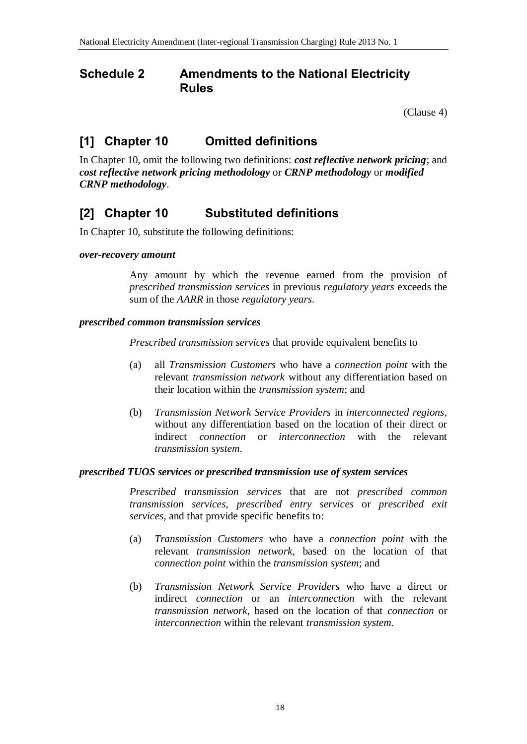#### **Schedule 2 Amendments to the National Electricity Rules**

(Clause 4)

# **[1] Chapter 10 Omitted definitions**

In Chapter 10, omit the following two definitions: *cost reflective network pricing*; and *cost reflective network pricing methodology* or *CRNP methodology* or *modified CRNP methodology*.

# **[2] Chapter 10 Substituted definitions**

In Chapter 10, substitute the following definitions:

#### *over-recovery amount*

Any amount by which the revenue earned from the provision of *prescribed transmission services* in previous *regulatory years* exceeds the sum of the *AARR* in those *regulatory years*.

#### *prescribed common transmission services*

*Prescribed transmission services* that provide equivalent benefits to

- (a) all *Transmission Customers* who have a *connection point* with the relevant *transmission network* without any differentiation based on their location within the *transmission system*; and
- (b) *Transmission Network Service Providers* in *interconnected regions*, without any differentiation based on the location of their direct or indirect *connection* or *interconnection* with the relevant *transmission system*.

#### *prescribed TUOS services or prescribed transmission use of system services*

*Prescribed transmission services* that are not *prescribed common transmission services*, *prescribed entry services* or *prescribed exit services*, and that provide specific benefits to:

- (a) *Transmission Customers* who have a *connection point* with the relevant *transmission network*, based on the location of that *connection point* within the *transmission system*; and
- (b) *Transmission Network Service Providers* who have a direct or indirect *connection* or an *interconnection* with the relevant *transmission network*, based on the location of that *connection* or *interconnection* within the relevant *transmission system*.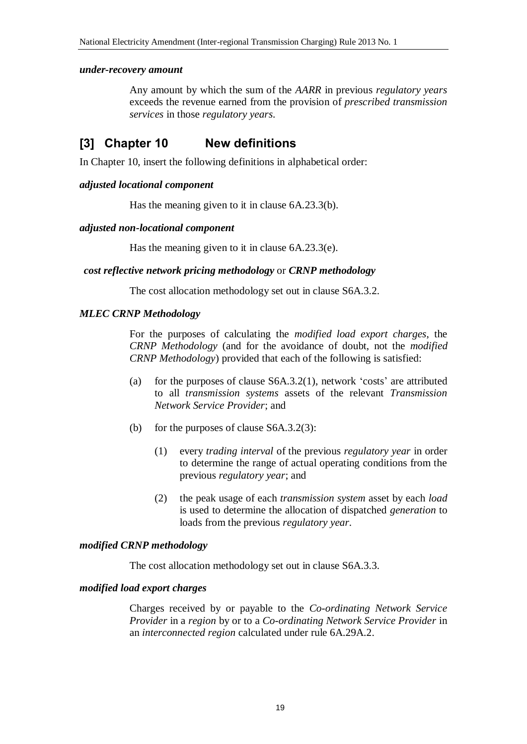#### *under-recovery amount*

Any amount by which the sum of the *AARR* in previous *regulatory years* exceeds the revenue earned from the provision of *prescribed transmission services* in those *regulatory years*.

### **[3] Chapter 10 New definitions**

In Chapter 10, insert the following definitions in alphabetical order:

#### *adjusted locational component*

Has the meaning given to it in clause 6A.23.3(b).

#### *adjusted non-locational component*

Has the meaning given to it in clause 6A.23.3(e).

#### *cost reflective network pricing methodology* or *CRNP methodology*

The cost allocation methodology set out in clause S6A.3.2.

#### *MLEC CRNP Methodology*

For the purposes of calculating the *modified load export charges*, the *CRNP Methodology* (and for the avoidance of doubt, not the *modified CRNP Methodology*) provided that each of the following is satisfied:

- (a) for the purposes of clause S6A.3.2(1), network 'costs' are attributed to all *transmission systems* assets of the relevant *Transmission Network Service Provider*; and
- (b) for the purposes of clause S6A.3.2(3):
	- (1) every *trading interval* of the previous *regulatory year* in order to determine the range of actual operating conditions from the previous *regulatory year*; and
	- (2) the peak usage of each *transmission system* asset by each *load* is used to determine the allocation of dispatched *generation* to loads from the previous *regulatory year*.

#### *modified CRNP methodology*

The cost allocation methodology set out in clause S6A.3.3.

#### *modified load export charges*

Charges received by or payable to the *Co-ordinating Network Service Provider* in a *region* by or to a *Co-ordinating Network Service Provider* in an *interconnected region* calculated under rule 6A.29A.2.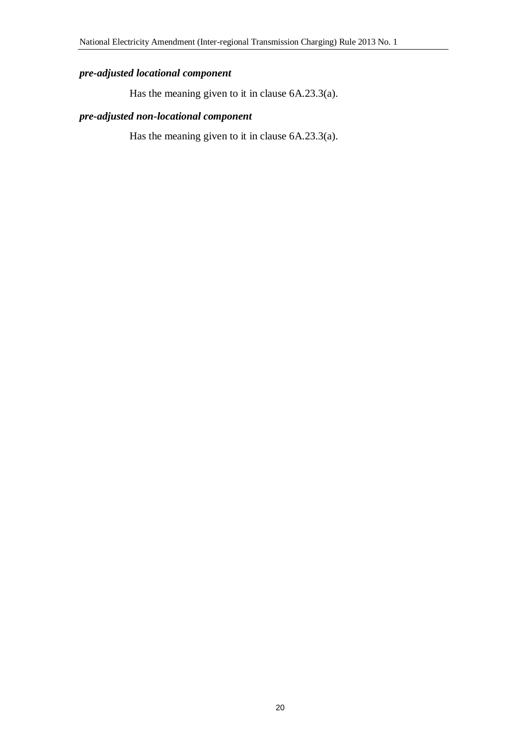#### *pre-adjusted locational component*

Has the meaning given to it in clause 6A.23.3(a).

#### *pre-adjusted non-locational component*

Has the meaning given to it in clause 6A.23.3(a).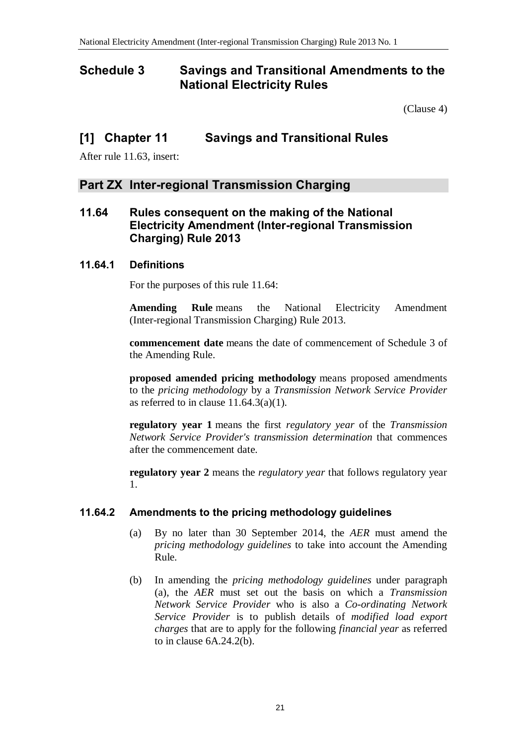#### **Schedule 3 Savings and Transitional Amendments to the National Electricity Rules**

(Clause 4)

#### **[1] Chapter 11 Savings and Transitional Rules**

After rule 11.63, insert:

#### **Part ZX Inter-regional Transmission Charging**

#### **11.64 Rules consequent on the making of the National Electricity Amendment (Inter-regional Transmission Charging) Rule 2013**

#### **11.64.1 Definitions**

For the purposes of this rule 11.64:

**Amending Rule** means the National Electricity Amendment (Inter-regional Transmission Charging) Rule 2013.

**commencement date** means the date of commencement of Schedule 3 of the Amending Rule.

**proposed amended pricing methodology** means proposed amendments to the *pricing methodology* by a *Transmission Network Service Provider* as referred to in clause  $11.64.3(a)(1)$ .

**regulatory year 1** means the first *regulatory year* of the *Transmission Network Service Provider's transmission determination* that commences after the commencement date.

**regulatory year 2** means the *regulatory year* that follows regulatory year 1.

#### **11.64.2 Amendments to the pricing methodology guidelines**

- (a) By no later than 30 September 2014, the *AER* must amend the *pricing methodology guidelines* to take into account the Amending Rule.
- (b) In amending the *pricing methodology guidelines* under paragraph (a), the *AER* must set out the basis on which a *Transmission Network Service Provider* who is also a *Co-ordinating Network Service Provider* is to publish details of *modified load export charges* that are to apply for the following *financial year* as referred to in clause 6A.24.2(b).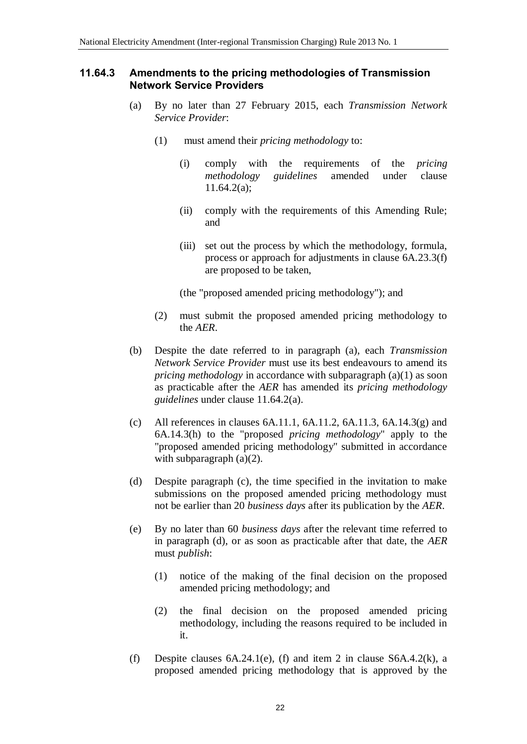#### **11.64.3 Amendments to the pricing methodologies of Transmission Network Service Providers**

- (a) By no later than 27 February 2015, each *Transmission Network Service Provider*:
	- (1) must amend their *pricing methodology* to:
		- (i) comply with the requirements of the *pricing methodology guidelines* amended under clause 11.64.2(a);
		- (ii) comply with the requirements of this Amending Rule; and
		- (iii) set out the process by which the methodology, formula, process or approach for adjustments in clause 6A.23.3(f) are proposed to be taken,

(the "proposed amended pricing methodology"); and

- (2) must submit the proposed amended pricing methodology to the *AER*.
- (b) Despite the date referred to in paragraph (a), each *Transmission Network Service Provider* must use its best endeavours to amend its *pricing methodology* in accordance with subparagraph (a)(1) as soon as practicable after the *AER* has amended its *pricing methodology guidelines* under clause 11.64.2(a).
- (c) All references in clauses  $6A.11.1$ ,  $6A.11.2$ ,  $6A.11.3$ ,  $6A.14.3(g)$  and 6A.14.3(h) to the "proposed *pricing methodology*" apply to the "proposed amended pricing methodology" submitted in accordance with subparagraph (a)(2).
- (d) Despite paragraph (c), the time specified in the invitation to make submissions on the proposed amended pricing methodology must not be earlier than 20 *business days* after its publication by the *AER*.
- (e) By no later than 60 *business days* after the relevant time referred to in paragraph (d), or as soon as practicable after that date, the *AER* must *publish*:
	- (1) notice of the making of the final decision on the proposed amended pricing methodology; and
	- (2) the final decision on the proposed amended pricing methodology, including the reasons required to be included in it.
- (f) Despite clauses  $6A.24.1(e)$ , (f) and item 2 in clause  $S6A.4.2(k)$ , a proposed amended pricing methodology that is approved by the